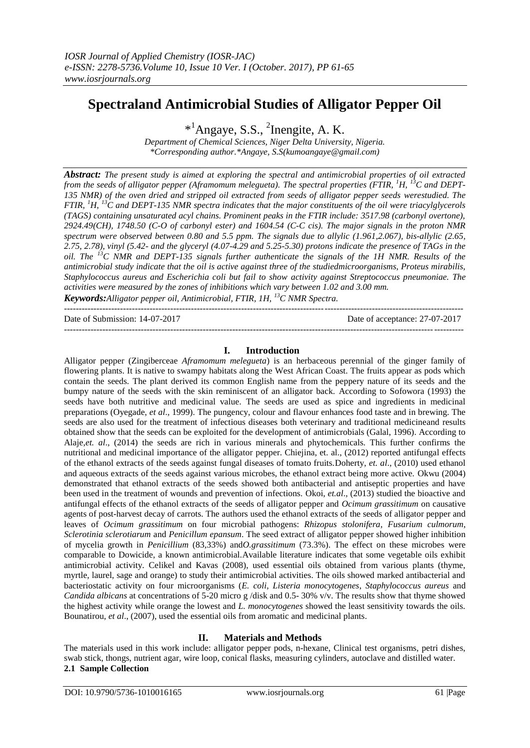# **Spectraland Antimicrobial Studies of Alligator Pepper Oil**

\* <sup>1</sup>Angaye, S.S., <sup>2</sup> Inengite, A. K.

*Department of Chemical Sciences, Niger Delta University, Nigeria. \*Corresponding author.\*Angaye, S.S(kumoangaye@gmail.com)*

*Abstract: The present study is aimed at exploring the spectral and antimicrobial properties of oil extracted from the seeds of alligator pepper (Aframomum melegueta). The spectral properties (FTIR, <sup>1</sup>H, <sup>13</sup>C and DEPT-135 NMR) of the oven dried and stripped oil extracted from seeds of alligator pepper seeds werestudied. The FTIR, <sup>1</sup>H, <sup>13</sup>C and DEPT-135 NMR spectra indicates that the major constituents of the oil were triacylglycerols (TAGS) containing unsaturated acyl chains. Prominent peaks in the FTIR include: 3517.98 (carbonyl overtone), 2924.49(CH), 1748.50 (C-O of carbonyl ester) and 1604.54 (C-C cis). The major signals in the proton NMR spectrum were observed between 0.80 and 5.5 ppm. The signals due to allylic (1.961,2.067), bis-allylic (2.65, 2.75, 2.78), vinyl (5.42- and the glyceryl (4.07-4.29 and 5.25-5.30) protons indicate the presence of TAGs in the oil. The <sup>13</sup>C NMR and DEPT-135 signals further authenticate the signals of the 1H NMR. Results of the antimicrobial study indicate that the oil is active against three of the studiedmicroorganisms, Proteus mirabilis, Staphylococcus aureus and Escherichia coli but fail to show activity against Streptococcus pneumoniae. The activities were measured by the zones of inhibitions which vary between 1.02 and 3.00 mm.*

*Keywords:Alligator pepper oil, Antimicrobial, FTIR, 1H, <sup>13</sup>C NMR Spectra.* ---------------------------------------------------------------------------------------------------------------------------------------

Date of Submission: 14-07-2017 Date of acceptance: 27-07-2017

#### **I. Introduction**

---------------------------------------------------------------------------------------------------------------------------------------

Alligator pepper (Zingiberceae *Aframomum melegueta*) is an herbaceous perennial of the ginger family of flowering plants. It is native to swampy habitats along the West African Coast. The fruits appear as pods which contain the seeds. The plant derived its common English name from the peppery nature of its seeds and the bumpy nature of the seeds with the skin reminiscent of an alligator back. According to Sofowora (1993) the seeds have both nutritive and medicinal value. The seeds are used as spice and ingredients in medicinal preparations (Oyegade, *et al*., 1999). The pungency, colour and flavour enhances food taste and in brewing. The seeds are also used for the treatment of infectious diseases both veterinary and traditional medicineand results obtained show that the seeds can be exploited for the development of antimicrobials (Galal, 1996). According to Alaje,*et. al*., (2014) the seeds are rich in various minerals and phytochemicals. This further confirms the nutritional and medicinal importance of the alligator pepper. Chiejina, et. al., (2012) reported antifungal effects of the ethanol extracts of the seeds against fungal diseases of tomato fruits.Doherty, *et. al*., (2010) used ethanol and aqueous extracts of the seeds against various microbes, the ethanol extract being more active. Okwu (2004) demonstrated that ethanol extracts of the seeds showed both antibacterial and antiseptic properties and have been used in the treatment of wounds and prevention of infections. Okoi, *et.al*., (2013) studied the bioactive and antifungal effects of the ethanol extracts of the seeds of alligator pepper and *Ocimum grassitimum* on causative agents of post-harvest decay of carrots. The authors used the ethanol extracts of the seeds of alligator pepper and leaves of *Ocimum grassitimum* on four microbial pathogens: *Rhizopus stolonifera*, *Fusarium culmorum*, *Sclerotinia sclerotiarum* and *Penicillum epansum*. The seed extract of alligator pepper showed higher inhibition of mycelia growth in *Penicillium* (83,33%) and*O.grassitimum* (73.3%). The effect on these microbes were comparable to Dowicide, a known antimicrobial.Available literature indicates that some vegetable oils exhibit antimicrobial activity. Celikel and Kavas (2008), used essential oils obtained from various plants (thyme, myrtle, laurel, sage and orange) to study their antimicrobial activities. The oils showed marked antibacterial and bacteriostatic activity on four microorganisms (*E. coli, Listeria monocytogenes*, *Staphylococcus aureus* and *Candida albicans* at concentrations of 5-20 micro g /disk and 0.5- 30% v/v. The results show that thyme showed the highest activity while orange the lowest and *L. monocytogenes* showed the least sensitivity towards the oils. Bounatirou, *et al*., (2007), used the essential oils from aromatic and medicinal plants.

## **II. Materials and Methods**

The materials used in this work include: alligator pepper pods, n-hexane, Clinical test organisms, petri dishes, swab stick, thongs, nutrient agar, wire loop, conical flasks, measuring cylinders, autoclave and distilled water. **2.1 Sample Collection**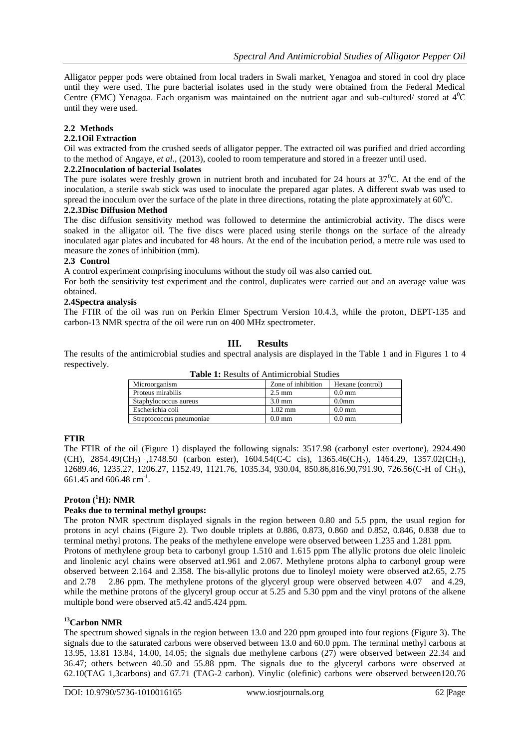Alligator pepper pods were obtained from local traders in Swali market, Yenagoa and stored in cool dry place until they were used. The pure bacterial isolates used in the study were obtained from the Federal Medical Centre (FMC) Yenagoa. Each organism was maintained on the nutrient agar and sub-cultured/ stored at  $4^0C$ until they were used.

## **2.2 Methods**

#### **2.2.1Oil Extraction**

Oil was extracted from the crushed seeds of alligator pepper. The extracted oil was purified and dried according to the method of Angaye, *et al*., (2013), cooled to room temperature and stored in a freezer until used.

#### **2.2.2Inoculation of bacterial Isolates**

The pure isolates were freshly grown in nutrient broth and incubated for 24 hours at  $37^{\circ}$ C. At the end of the inoculation, a sterile swab stick was used to inoculate the prepared agar plates. A different swab was used to spread the inoculum over the surface of the plate in three directions, rotating the plate approximately at  $60^{\circ}$ C.

#### **2.2.3Disc Diffusion Method**

The disc diffusion sensitivity method was followed to determine the antimicrobial activity. The discs were soaked in the alligator oil. The five discs were placed using sterile thongs on the surface of the already inoculated agar plates and incubated for 48 hours. At the end of the incubation period, a metre rule was used to measure the zones of inhibition (mm).

#### **2.3 Control**

A control experiment comprising inoculums without the study oil was also carried out.

For both the sensitivity test experiment and the control, duplicates were carried out and an average value was obtained.

#### **2.4Spectra analysis**

The FTIR of the oil was run on Perkin Elmer Spectrum Version 10.4.3, while the proton, DEPT-135 and carbon-13 NMR spectra of the oil were run on 400 MHz spectrometer.

## **III. Results**

The results of the antimicrobial studies and spectral analysis are displayed in the Table 1 and in Figures 1 to 4 respectively.

| <b>Table 1:</b> Results of Allthur Foolar Studies |                    |                   |
|---------------------------------------------------|--------------------|-------------------|
| Microorganism                                     | Zone of inhibition | Hexane (control)  |
| Proteus mirabilis                                 | $2.5 \text{ mm}$   | $0.0 \text{ mm}$  |
| Staphylococcus aureus                             | $3.0 \text{ mm}$   | 0.0 <sub>mm</sub> |
| Escherichia coli                                  | $1.02$ mm          | $0.0 \text{ mm}$  |

Streptococcus pneumoniae 0.0 mm 0.0 mm

**Table 1:** Results of Antimicrobial Studies

## **FTIR**

The FTIR of the oil (Figure 1) displayed the following signals: 3517.98 (carbonyl ester overtone), 2924.490 (CH), 2854.49(CH<sub>2</sub>), 1748.50 (carbon ester), 1604.54(C-C cis), 1365.46(CH<sub>2</sub>), 1464.29, 1357.02(CH<sub>3</sub>), 12689.46, 1235.27, 1206.27, 1152.49, 1121.76, 1035.34, 930.04, 850.86,816.90,791.90, 726.56(C-H of CH3), 661.45 and 606.48 cm<sup>-1</sup>.

## **Proton (<sup>1</sup>H): NMR**

## **Peaks due to terminal methyl groups:**

The proton NMR spectrum displayed signals in the region between 0.80 and 5.5 ppm, the usual region for protons in acyl chains (Figure 2). Two double triplets at 0.886, 0.873, 0.860 and 0.852, 0.846, 0.838 due to terminal methyl protons. The peaks of the methylene envelope were observed between 1.235 and 1.281 ppm. Protons of methylene group beta to carbonyl group 1.510 and 1.615 ppm The allylic protons due oleic linoleic and linolenic acyl chains were observed at1.961 and 2.067. Methylene protons alpha to carbonyl group were observed between 2.164 and 2.358. The bis-allylic protons due to linoleyl moiety were observed at2.65, 2.75 and 2.78 2.86 ppm. The methylene protons of the glyceryl group were observed between 4.07 and 4.29, while the methine protons of the glyceryl group occur at 5.25 and 5.30 ppm and the vinyl protons of the alkene multiple bond were observed at5.42 and5.424 ppm.

## **<sup>13</sup>Carbon NMR**

The spectrum showed signals in the region between 13.0 and 220 ppm grouped into four regions (Figure 3). The signals due to the saturated carbons were observed between 13.0 and 60.0 ppm. The terminal methyl carbons at 13.95, 13.81 13.84, 14.00, 14.05; the signals due methylene carbons (27) were observed between 22.34 and 36.47; others between 40.50 and 55.88 ppm. The signals due to the glyceryl carbons were observed at 62.10(TAG 1,3carbons) and 67.71 (TAG-2 carbon). Vinylic (olefinic) carbons were observed between120.76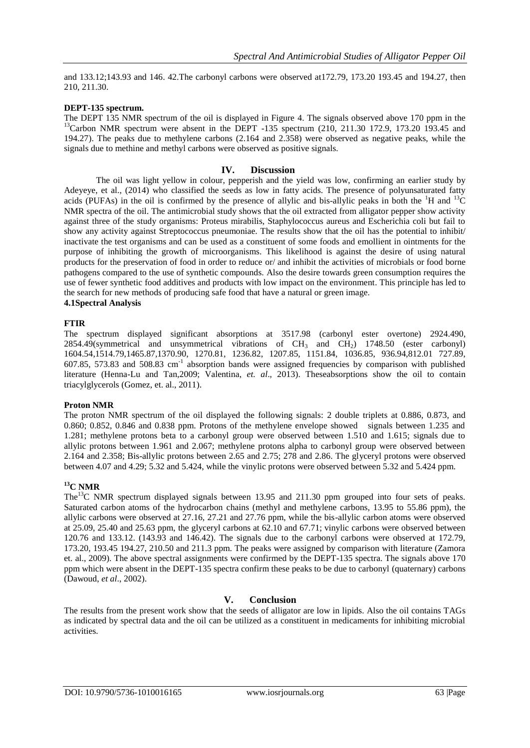and 133.12;143.93 and 146. 42.The carbonyl carbons were observed at172.79, 173.20 193.45 and 194.27, then 210, 211.30.

#### **DEPT-135 spectrum.**

The DEPT 135 NMR spectrum of the oil is displayed in Figure 4. The signals observed above 170 ppm in the  $13$ Carbon NMR spectrum were absent in the DEPT -135 spectrum (210, 211.30 172.9, 173.20 193.45 and 194.27). The peaks due to methylene carbons (2.164 and 2.358) were observed as negative peaks, while the signals due to methine and methyl carbons were observed as positive signals.

#### **IV. Discussion**

The oil was light yellow in colour, pepperish and the yield was low, confirming an earlier study by Adeyeye, et al., (2014) who classified the seeds as low in fatty acids. The presence of polyunsaturated fatty acids (PUFAs) in the oil is confirmed by the presence of allylic and bis-allylic peaks in both the  ${}^{1}H$  and  ${}^{13}C$ NMR spectra of the oil. The antimicrobial study shows that the oil extracted from alligator pepper show activity against three of the study organisms: Proteus mirabilis, Staphylococcus aureus and Escherichia coli but fail to show any activity against Streptococcus pneumoniae. The results show that the oil has the potential to inhibit/ inactivate the test organisms and can be used as a constituent of some foods and emollient in ointments for the purpose of inhibiting the growth of microorganisms. This likelihood is against the desire of using natural products for the preservation of food in order to reduce or/ and inhibit the activities of microbials or food borne pathogens compared to the use of synthetic compounds. Also the desire towards green consumption requires the use of fewer synthetic food additives and products with low impact on the environment. This principle has led to the search for new methods of producing safe food that have a natural or green image.

## **4.1Spectral Analysis**

#### **FTIR**

The spectrum displayed significant absorptions at 3517.98 (carbonyl ester overtone) 2924.490, 2854.49(symmetrical and unsymmetrical vibrations of  $CH_3$  and  $CH_2$ ) 1748.50 (ester carbonyl) 1604.54,1514.79,1465.87,1370.90, 1270.81, 1236.82, 1207.85, 1151.84, 1036.85, 936.94,812.01 727.89, 607.85, 573.83 and 508.83 cm-1 absorption bands were assigned frequencies by comparison with published literature (Henna-Lu and Tan,2009; Valentina, *et. al*., 2013). Theseabsorptions show the oil to contain triacylglycerols (Gomez, et. al., 2011).

#### **Proton NMR**

The proton NMR spectrum of the oil displayed the following signals: 2 double triplets at 0.886, 0.873, and 0.860; 0.852, 0.846 and 0.838 ppm. Protons of the methylene envelope showed signals between 1.235 and 1.281; methylene protons beta to a carbonyl group were observed between 1.510 and 1.615; signals due to allylic protons between 1.961 and 2.067; methylene protons alpha to carbonyl group were observed between 2.164 and 2.358; Bis-allylic protons between 2.65 and 2.75; 278 and 2.86. The glyceryl protons were observed between 4.07 and 4.29; 5.32 and 5.424, while the vinylic protons were observed between 5.32 and 5.424 ppm.

## **<sup>13</sup>C NMR**

The<sup>13</sup>C NMR spectrum displayed signals between 13.95 and 211.30 ppm grouped into four sets of peaks. Saturated carbon atoms of the hydrocarbon chains (methyl and methylene carbons, 13.95 to 55.86 ppm), the allylic carbons were observed at 27.16, 27.21 and 27.76 ppm, while the bis-allylic carbon atoms were observed at 25.09, 25.40 and 25.63 ppm, the glyceryl carbons at 62.10 and 67.71; vinylic carbons were observed between 120.76 and 133.12. (143.93 and 146.42). The signals due to the carbonyl carbons were observed at 172.79, 173.20, 193.45 194.27, 210.50 and 211.3 ppm. The peaks were assigned by comparison with literature (Zamora et. al., 2009). The above spectral assignments were confirmed by the DEPT-135 spectra. The signals above 170 ppm which were absent in the DEPT-135 spectra confirm these peaks to be due to carbonyl (quaternary) carbons (Dawoud, *et al*., 2002).

## **V. Conclusion**

The results from the present work show that the seeds of alligator are low in lipids. Also the oil contains TAGs as indicated by spectral data and the oil can be utilized as a constituent in medicaments for inhibiting microbial activities.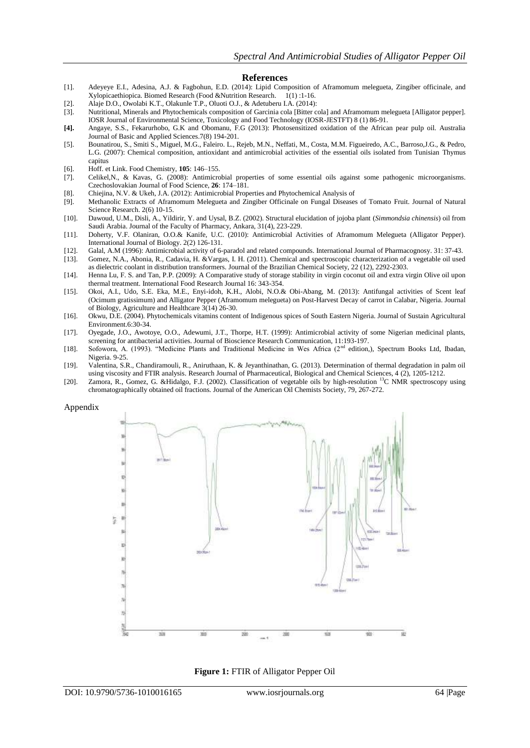#### **References**

- [1]. Adeyeye E.I., Adesina, A.J. & Fagbohun, E.D. (2014): Lipid Composition of Aframomum melegueta, Zingiber officinale, and Xylopicaethiopica. Biomed Research (Food &Nutrition Research. 1(1) :1-16.
- [2]. Alaje D.O., Owolabi K.T., Olakunle T.P., Oluoti O.J., & Adetuberu I.A. (2014):
- [3]. Nutritional, Minerals and Phytochemicals composition of Garcinia cola [Bitter cola] and Aframomum melegueta [Alligator pepper]. IOSR Journal of Environmental Science, Toxicology and Food Technology (IOSR-JESTFT) 8 (1) 86-91.
- **[4].** Angaye, S.S., Fekarurhobo, G.K and Obomanu, F.G (2013): Photosensitized oxidation of the African pear pulp oil. Australia Journal of Basic and Applied Sciences.7(8) 194-201.
- [5]. Bounatirou, S., Smiti S., Miguel, M.G., Faleiro. L., Rejeb, M.N., Neffati, M., Costa, M.M. Figueiredo, A.C., Barroso,J.G., & Pedro, L.G. (2007): Chemical composition, antioxidant and antimicrobial activities of the essential oils isolated from Tunisian Thymus capitus
- [6]. Hoff. et Link. Food Chemistry, **105**: 146–155.
- [7]. Celikel,N., & Kavas, G. (2008): Antimicrobial properties of some essential oils against some pathogenic microorganisms. Czechoslovakian Journal of Food Science, **26**: 174–181.
- [8]. Chiejina, N.V. & Ukeh, J.A. (2012): Antimicrobial Properties and Phytochemical Analysis of
- Methanolic Extracts of Aframomum Melegueta and Zingiber Officinale on Fungal Diseases of Tomato Fruit. Journal of Natural Science Research. 2(6) 10-15.
- [10]. Dawoud, U.M., Disli, A., Yildirir, Y. and Uysal, B.Z. (2002). Structural elucidation of jojoba plant (*Simmondsia chinensis*) oil from Saudi Arabia. Journal of the Faculty of Pharmacy, Ankara, 31(4), 223-229.
- [11]. Doherty, V.F. Olaniran, O.O.& Kanife, U.C. (2010): Antimicrobial Activities of Aframomum Melegueta (Alligator Pepper). International Journal of Biology. 2(2) 126-131.
- [12]. Galal, A.M (1996): Antimicrobial activity of 6-paradol and related compounds. International Journal of Pharmacognosy. 31: 37-43.
- [13]. Gomez, N.A., Abonia, R., Cadavia, H. &Vargas, I. H. (2011). Chemical and spectroscopic characterization of a vegetable oil used as dielectric coolant in distribution transformers. Journal of the Brazilian Chemical Society, 22 (12), 2292-2303.
- [14]. Henna Lu, F. S. and Tan, P.P. (2009): A Comparative study of storage stability in virgin coconut oil and extra virgin Olive oil upon thermal treatment. International Food Research Journal 16: 343-354.
- [15]. Okoi, A.I., Udo, S.E. Eka, M.E., Enyi-idoh, K.H., Alobi, N.O.& Obi-Abang, M. (2013): Antifungal activities of Scent leaf (Ocimum gratissimum) and Alligator Pepper (Aframomum melegueta) on Post-Harvest Decay of carrot in Calabar, Nigeria. Journal of Biology, Agriculture and Healthcare 3(14) 26-30.
- [16]. Okwu, D.E. (2004). Phytochemicals vitamins content of Indigenous spices of South Eastern Nigeria. Journal of Sustain Agricultural Environment.6:30-34.
- [17]. Oyegade, J.O., Awotoye, O.O., Adewumi, J.T., Thorpe, H.T. (1999): Antimicrobial activity of some Nigerian medicinal plants, screening for antibacterial activities. Journal of Bioscience Research Communication, 11:193-197.
- [18]. Sofowora, A. (1993). "Medicine Plants and Traditional Medicine in Wes Africa (2nd edition,), Spectrum Books Ltd, Ibadan, Nigeria. 9-25.
- [19]. Valentina, S.R., Chandiramouli, R., Aniruthaan, K. & Jeyanthinathan, G. (2013). Determination of thermal degradation in palm oil using viscosity and FTIR analysis. Research Journal of Pharmaceutical, Biological and Chemical Sciences, 4 (2), 1205-1212.
- [20]. Zamora, R., Gomez, G. &Hidalgo, F.J. (2002). Classification of vegetable oils by high-resolution <sup>13</sup>C NMR spectroscopy using chromatographically obtained oil fractions. Journal of the American Oil Chemists Society, 79, 267-272.

Appendix



**Figure 1:** FTIR of Alligator Pepper Oil